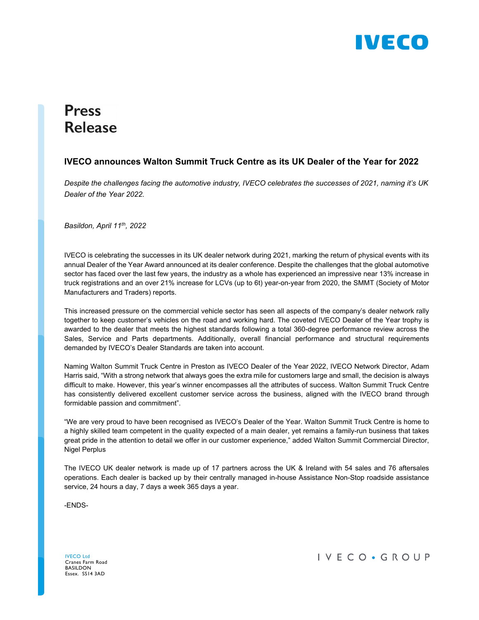

# **Press Release**

### **IVECO announces Walton Summit Truck Centre as its UK Dealer of the Year for 2022**

*Despite the challenges facing the automotive industry, IVECO celebrates the successes of 2021, naming it's UK Dealer of the Year 2022.* 

*Basildon, April 11th, 2022* 

IVECO is celebrating the successes in its UK dealer network during 2021, marking the return of physical events with its annual Dealer of the Year Award announced at its dealer conference. Despite the challenges that the global automotive sector has faced over the last few years, the industry as a whole has experienced an impressive near 13% increase in truck registrations and an over 21% increase for LCVs (up to 6t) year-on-year from 2020, the SMMT (Society of Motor Manufacturers and Traders) reports.

This increased pressure on the commercial vehicle sector has seen all aspects of the company's dealer network rally together to keep customer's vehicles on the road and working hard. The coveted IVECO Dealer of the Year trophy is awarded to the dealer that meets the highest standards following a total 360-degree performance review across the Sales, Service and Parts departments. Additionally, overall financial performance and structural requirements demanded by IVECO's Dealer Standards are taken into account.

Naming Walton Summit Truck Centre in Preston as IVECO Dealer of the Year 2022, IVECO Network Director, Adam Harris said, "With a strong network that always goes the extra mile for customers large and small, the decision is always difficult to make. However, this year's winner encompasses all the attributes of success. Walton Summit Truck Centre has consistently delivered excellent customer service across the business, aligned with the IVECO brand through formidable passion and commitment".

"We are very proud to have been recognised as IVECO's Dealer of the Year. Walton Summit Truck Centre is home to a highly skilled team competent in the quality expected of a main dealer, yet remains a family-run business that takes great pride in the attention to detail we offer in our customer experience," added Walton Summit Commercial Director, Nigel Perplus

The IVECO UK dealer network is made up of 17 partners across the UK & Ireland with 54 sales and 76 aftersales operations. Each dealer is backed up by their centrally managed in-house Assistance Non-Stop roadside assistance service, 24 hours a day, 7 days a week 365 days a year.

-ENDS-

IVECO Ltd Cranes Farm Road BASILDON Essex. SS14 3AD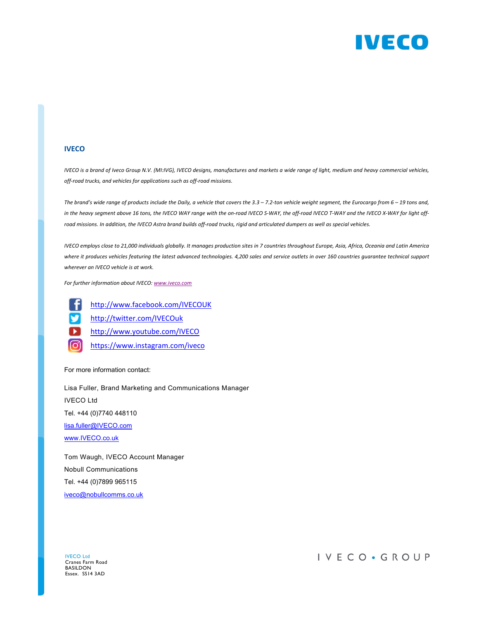

#### **IVECO**

IVECO is a brand of Iveco Group N.V. (MI:IVG), IVECO designs, manufactures and markets a wide range of light, medium and heavy commercial vehicles, *off‐road trucks, and vehicles for applications such as off‐road missions.*

The brand's wide range of products include the Daily, a vehicle that covers the 3.3 - 7.2-ton vehicle weight segment, the Eurocargo from 6 - 19 tons and, in the heavy segment above 16 tons, the IVECO WAY range with the on-road IVECO S-WAY, the off-road IVECO T-WAY and the IVECO X-WAY for light offroad missions. In addition, the IVECO Astra brand builds off-road trucks, rigid and articulated dumpers as well as special vehicles.

IVECO employs close to 21,000 individuals globally. It manages production sites in 7 countries throughout Europe, Asia, Africa, Oceania and Latin America where it produces vehicles featuring the latest advanced technologies. 4,200 sales and service outlets in over 160 countries quarantee technical support *wherever an IVECO vehicle is at work.*

*For further information about IVECO: www.iveco.com*



http://www.facebook.com/IVECOUK

- http://twitter.com/IVECOuk
- http://www.youtube.com/IVECO
- ତି https://www.instagram.com/iveco

For more information contact:

Lisa Fuller, Brand Marketing and Communications Manager IVECO Ltd Tel. +44 (0)7740 448110 lisa.fuller@IVECO.com www.IVECO.co.uk Tom Waugh, IVECO Account Manager

Nobull Communications Tel. +44 (0)7899 965115 iveco@nobullcomms.co.uk

IVECO Ltd Cranes Farm Road BASILDON Essex. SS14 3AD

## IVECO · GROUP